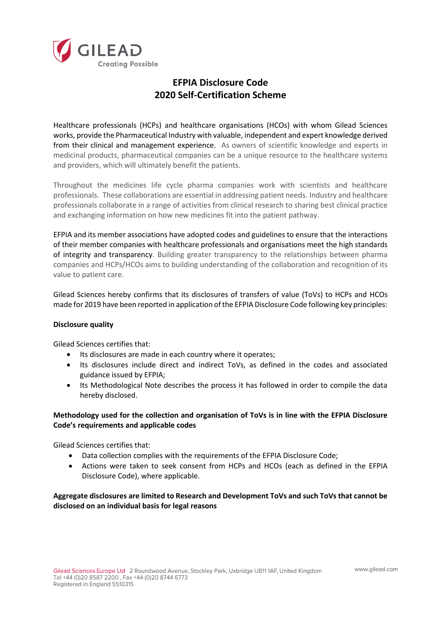

## **EFPIA Disclosure Code 2020 Self-Certification Scheme**

Healthcare professionals (HCPs) and healthcare organisations (HCOs) with whom Gilead Sciences works, provide the Pharmaceutical Industry with valuable, independent and expert knowledge derived from their clinical and management experience. As owners of scientific knowledge and experts in medicinal products, pharmaceutical companies can be a unique resource to the healthcare systems and providers, which will ultimately benefit the patients.

Throughout the medicines life cycle pharma companies work with scientists and healthcare professionals. These collaborations are essential in addressing patient needs. Industry and healthcare professionals collaborate in a range of activities from clinical research to sharing best clinical practice and exchanging information on how new medicines fit into the patient pathway.

EFPIA and its member associations have adopted codes and guidelines to ensure that the interactions of their member companies with healthcare professionals and organisations meet the high standards of integrity and transparency. Building greater transparency to the relationships between pharma companies and HCPs/HCOs aims to building understanding of the collaboration and recognition of its value to patient care.

Gilead Sciences hereby confirms that its disclosures of transfers of value (ToVs) to HCPs and HCOs made for 2019 have been reported in application of the EFPIA Disclosure Code following key principles:

## **Disclosure quality**

Gilead Sciences certifies that:

- Its disclosures are made in each country where it operates;
- Its disclosures include direct and indirect ToVs, as defined in the codes and associated guidance issued by EFPIA;
- Its Methodological Note describes the process it has followed in order to compile the data hereby disclosed.

## **Methodology used for the collection and organisation of ToVs is in line with the EFPIA Disclosure Code's requirements and applicable codes**

Gilead Sciences certifies that:

- Data collection complies with the requirements of the EFPIA Disclosure Code;
- Actions were taken to seek consent from HCPs and HCOs (each as defined in the EFPIA Disclosure Code), where applicable.

**Aggregate disclosures are limited to Research and Development ToVs and such ToVs that cannot be disclosed on an individual basis for legal reasons**